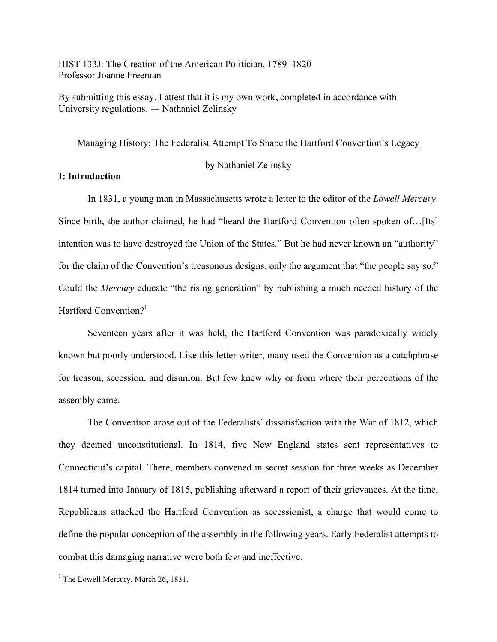HIST 133J: The Creation of the American Politician, 1789–1820 Professor Joanne Freeman

By submitting this essay, I attest that it is my own work, completed in accordance with University regulations. — Nathaniel Zelinsky

## Managing History: The Federalist Attempt To Shape the Hartford Convention's Legacy

by Nathaniel Zelinsky

### **I: Introduction**

In 1831, a young man in Massachusetts wrote a letter to the editor of the *Lowell Mercury*. Since birth, the author claimed, he had "heard the Hartford Convention often spoken of…[Its] intention was to have destroyed the Union of the States." But he had never known an "authority" for the claim of the Convention's treasonous designs, only the argument that "the people say so." Could the *Mercury* educate "the rising generation" by publishing a much needed history of the Hartford Convention?<sup>1</sup>

Seventeen years after it was held, the Hartford Convention was paradoxically widely known but poorly understood. Like this letter writer, many used the Convention as a catchphrase for treason, secession, and disunion. But few knew why or from where their perceptions of the assembly came.

The Convention arose out of the Federalists' dissatisfaction with the War of 1812, which they deemed unconstitutional. In 1814, five New England states sent representatives to Connecticut's capital. There, members convened in secret session for three weeks as December 1814 turned into January of 1815, publishing afterward a report of their grievances. At the time, Republicans attacked the Hartford Convention as secessionist, a charge that would come to define the popular conception of the assembly in the following years. Early Federalist attempts to combat this damaging narrative were both few and ineffective.

<sup>&</sup>lt;sup>1</sup> The Lowell Mercury, March 26, 1831.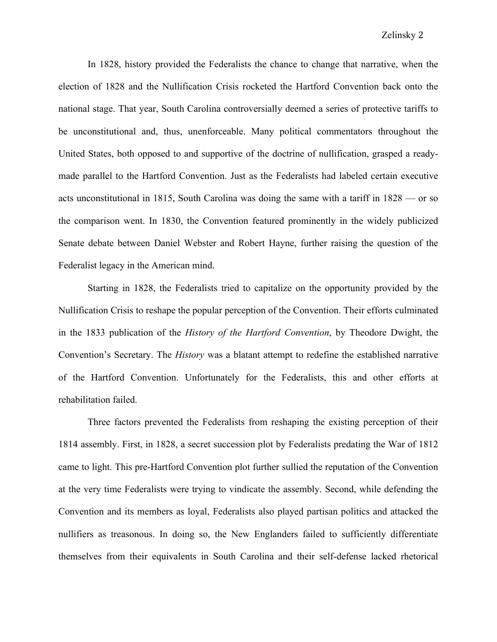In 1828, history provided the Federalists the chance to change that narrative, when the election of 1828 and the Nullification Crisis rocketed the Hartford Convention back onto the national stage. That year, South Carolina controversially deemed a series of protective tariffs to be unconstitutional and, thus, unenforceable. Many political commentators throughout the United States, both opposed to and supportive of the doctrine of nullification, grasped a readymade parallel to the Hartford Convention. Just as the Federalists had labeled certain executive acts unconstitutional in 1815, South Carolina was doing the same with a tariff in 1828 — or so the comparison went. In 1830, the Convention featured prominently in the widely publicized Senate debate between Daniel Webster and Robert Hayne, further raising the question of the Federalist legacy in the American mind.

Starting in 1828, the Federalists tried to capitalize on the opportunity provided by the Nullification Crisis to reshape the popular perception of the Convention. Their efforts culminated in the 1833 publication of the *History of the Hartford Convention*, by Theodore Dwight, the Convention's Secretary. The *History* was a blatant attempt to redefine the established narrative of the Hartford Convention. Unfortunately for the Federalists, this and other efforts at rehabilitation failed.

Three factors prevented the Federalists from reshaping the existing perception of their 1814 assembly. First, in 1828, a secret succession plot by Federalists predating the War of 1812 came to light. This pre-Hartford Convention plot further sullied the reputation of the Convention at the very time Federalists were trying to vindicate the assembly. Second, while defending the Convention and its members as loyal, Federalists also played partisan politics and attacked the nullifiers as treasonous. In doing so, the New Englanders failed to sufficiently differentiate themselves from their equivalents in South Carolina and their self-defense lacked rhetorical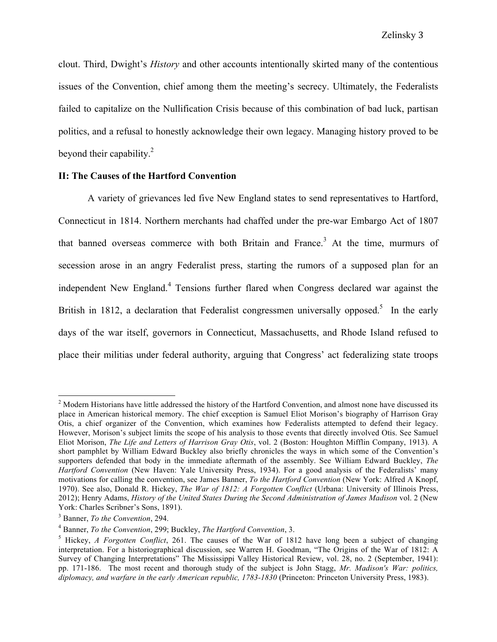clout. Third, Dwight's *History* and other accounts intentionally skirted many of the contentious issues of the Convention, chief among them the meeting's secrecy. Ultimately, the Federalists failed to capitalize on the Nullification Crisis because of this combination of bad luck, partisan politics, and a refusal to honestly acknowledge their own legacy. Managing history proved to be beyond their capability.<sup>2</sup>

### **II: The Causes of the Hartford Convention**

A variety of grievances led five New England states to send representatives to Hartford, Connecticut in 1814. Northern merchants had chaffed under the pre-war Embargo Act of 1807 that banned overseas commerce with both Britain and France.<sup>3</sup> At the time, murmurs of secession arose in an angry Federalist press, starting the rumors of a supposed plan for an independent New England.<sup>4</sup> Tensions further flared when Congress declared war against the British in 1812, a declaration that Federalist congressmen universally opposed.<sup>5</sup> In the early days of the war itself, governors in Connecticut, Massachusetts, and Rhode Island refused to place their militias under federal authority, arguing that Congress' act federalizing state troops

<sup>&</sup>lt;sup>2</sup> Modern Historians have little addressed the history of the Hartford Convention, and almost none have discussed its place in American historical memory. The chief exception is Samuel Eliot Morison's biography of Harrison Gray Otis, a chief organizer of the Convention, which examines how Federalists attempted to defend their legacy. However, Morison's subject limits the scope of his analysis to those events that directly involved Otis. See Samuel Eliot Morison, *The Life and Letters of Harrison Gray Otis*, vol. 2 (Boston: Houghton Mifflin Company, 1913). A short pamphlet by William Edward Buckley also briefly chronicles the ways in which some of the Convention's supporters defended that body in the immediate aftermath of the assembly. See William Edward Buckley, *The Hartford Convention* (New Haven: Yale University Press, 1934). For a good analysis of the Federalists' many motivations for calling the convention, see James Banner, *To the Hartford Convention* (New York: Alfred A Knopf, 1970). See also, Donald R. Hickey, *The War of 1812: A Forgotten Conflict* (Urbana: University of Illinois Press, 2012); Henry Adams, *History of the United States During the Second Administration of James Madison* vol. 2 (New York: Charles Scribner's Sons, 1891).<br><sup>3</sup> Banner, *To the Convention*, 294.<br><sup>4</sup> Banner, *To the Convention*, 299; Buckley, *The Hartford Convention*, 3.

<sup>5</sup> Hickey, *A Forgotten Conflict*, 261. The causes of the War of 1812 have long been a subject of changing interpretation. For a historiographical discussion, see Warren H. Goodman, "The Origins of the War of 1812: A Survey of Changing Interpretations" The Mississippi Valley Historical Review, vol. 28, no. 2 (September, 1941): pp. 171-186. The most recent and thorough study of the subject is John Stagg, *Mr. Madison's War: politics, diplomacy, and warfare in the early American republic, 1783-1830* (Princeton: Princeton University Press, 1983).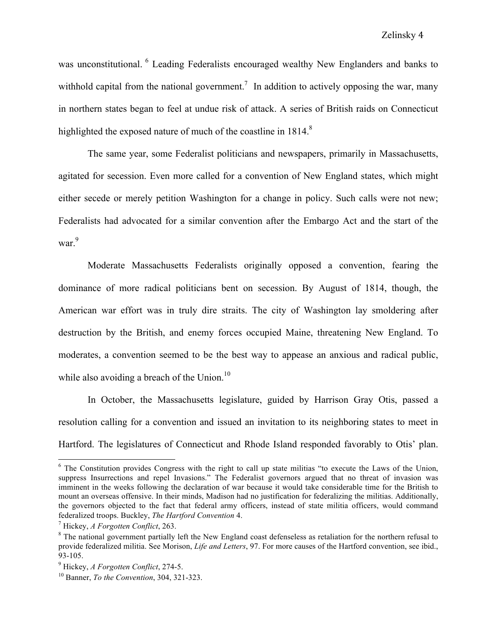was unconstitutional. <sup>6</sup> Leading Federalists encouraged wealthy New Englanders and banks to withhold capital from the national government.<sup>7</sup> In addition to actively opposing the war, many in northern states began to feel at undue risk of attack. A series of British raids on Connecticut highlighted the exposed nature of much of the coastline in 1814.<sup>8</sup>

The same year, some Federalist politicians and newspapers, primarily in Massachusetts, agitated for secession. Even more called for a convention of New England states, which might either secede or merely petition Washington for a change in policy. Such calls were not new; Federalists had advocated for a similar convention after the Embargo Act and the start of the war<sup>9</sup>

Moderate Massachusetts Federalists originally opposed a convention, fearing the dominance of more radical politicians bent on secession. By August of 1814, though, the American war effort was in truly dire straits. The city of Washington lay smoldering after destruction by the British, and enemy forces occupied Maine, threatening New England. To moderates, a convention seemed to be the best way to appease an anxious and radical public, while also avoiding a breach of the Union.<sup>10</sup>

In October, the Massachusetts legislature, guided by Harrison Gray Otis, passed a resolution calling for a convention and issued an invitation to its neighboring states to meet in Hartford. The legislatures of Connecticut and Rhode Island responded favorably to Otis' plan.

<sup>&</sup>lt;sup>6</sup> The Constitution provides Congress with the right to call up state militias "to execute the Laws of the Union, suppress Insurrections and repel Invasions." The Federalist governors argued that no threat of invasion was imminent in the weeks following the declaration of war because it would take considerable time for the British to mount an overseas offensive. In their minds, Madison had no justification for federalizing the militias. Additionally, the governors objected to the fact that federal army officers, instead of state militia officers, would command federalized troops. Buckley, *The Hartford Convention* 4.

<sup>7</sup> Hickey, *A Forgotten Conflict*, 263.

<sup>&</sup>lt;sup>8</sup> The national government partially left the New England coast defenseless as retaliation for the northern refusal to provide federalized militia. See Morison, *Life and Letters*, 97. For more causes of the Hartford convention, see ibid., 93-105.

<sup>9</sup> Hickey, *A Forgotten Conflict*, 274-5.

<sup>10</sup> Banner, *To the Convention*, 304, 321-323.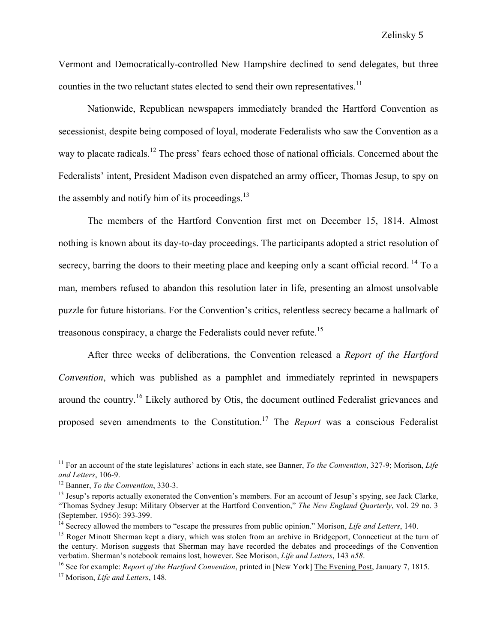Vermont and Democratically-controlled New Hampshire declined to send delegates, but three counties in the two reluctant states elected to send their own representatives.<sup>11</sup>

Nationwide, Republican newspapers immediately branded the Hartford Convention as secessionist, despite being composed of loyal, moderate Federalists who saw the Convention as a way to placate radicals.<sup>12</sup> The press' fears echoed those of national officials. Concerned about the Federalists' intent, President Madison even dispatched an army officer, Thomas Jesup, to spy on the assembly and notify him of its proceedings. $^{13}$ 

The members of the Hartford Convention first met on December 15, 1814. Almost nothing is known about its day-to-day proceedings. The participants adopted a strict resolution of secrecy, barring the doors to their meeting place and keeping only a scant official record. <sup>14</sup> To a man, members refused to abandon this resolution later in life, presenting an almost unsolvable puzzle for future historians. For the Convention's critics, relentless secrecy became a hallmark of treasonous conspiracy, a charge the Federalists could never refute.<sup>15</sup>

After three weeks of deliberations, the Convention released a *Report of the Hartford Convention*, which was published as a pamphlet and immediately reprinted in newspapers around the country.<sup>16</sup> Likely authored by Otis, the document outlined Federalist grievances and proposed seven amendments to the Constitution.17 The *Report* was a conscious Federalist

 <sup>11</sup> For an account of the state legislatures' actions in each state, see Banner, *To the Convention*, 327-9; Morison, *Life and Letters*, 106-9.

<sup>12</sup> Banner, *To the Convention*, 330-3.

 $<sup>13</sup>$  Jesup's reports actually exonerated the Convention's members. For an account of Jesup's spying, see Jack Clarke,</sup> "Thomas Sydney Jesup: Military Observer at the Hartford Convention," *The New England Quarterly*, vol. 29 no. 3 (September, 1956): 393-399.

<sup>&</sup>lt;sup>14</sup> Secrecy allowed the members to "escape the pressures from public opinion." Morison, *Life and Letters*, 140.<br><sup>15</sup> Roger Minott Sherman kept a diary, which was stolen from an archive in Bridgeport, Connecticut at the

the century. Morison suggests that Sherman may have recorded the debates and proceedings of the Convention verbatim. Sherman's notebook remains lost, however. See Morison, *Life and Letters*, 143 *n58*.

<sup>16</sup> See for example: *Report of the Hartford Convention*, printed in [New York] The Evening Post, January 7, 1815.

<sup>17</sup> Morison, *Life and Letters*, 148.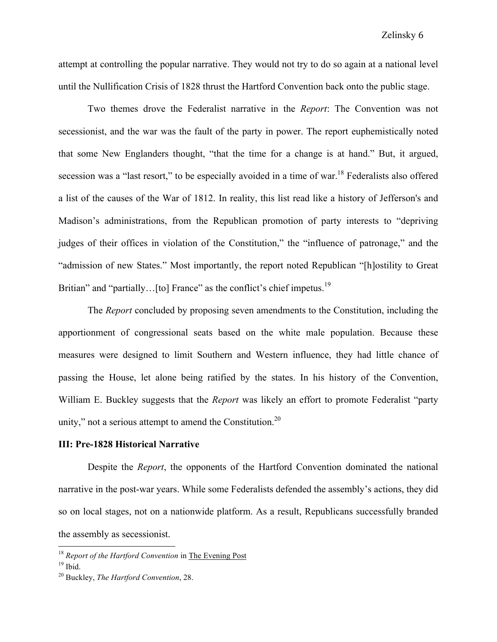attempt at controlling the popular narrative. They would not try to do so again at a national level until the Nullification Crisis of 1828 thrust the Hartford Convention back onto the public stage.

Two themes drove the Federalist narrative in the *Report*: The Convention was not secessionist, and the war was the fault of the party in power. The report euphemistically noted that some New Englanders thought, "that the time for a change is at hand." But, it argued, secession was a "last resort," to be especially avoided in a time of war.<sup>18</sup> Federalists also offered a list of the causes of the War of 1812. In reality, this list read like a history of Jefferson's and Madison's administrations, from the Republican promotion of party interests to "depriving judges of their offices in violation of the Constitution," the "influence of patronage," and the "admission of new States." Most importantly, the report noted Republican "[h]ostility to Great Britian" and "partially...[to] France" as the conflict's chief impetus.<sup>19</sup>

The *Report* concluded by proposing seven amendments to the Constitution, including the apportionment of congressional seats based on the white male population. Because these measures were designed to limit Southern and Western influence, they had little chance of passing the House, let alone being ratified by the states. In his history of the Convention, William E. Buckley suggests that the *Report* was likely an effort to promote Federalist "party unity," not a serious attempt to amend the Constitution. $2^{0}$ 

#### **III: Pre-1828 Historical Narrative**

Despite the *Report*, the opponents of the Hartford Convention dominated the national narrative in the post-war years. While some Federalists defended the assembly's actions, they did so on local stages, not on a nationwide platform. As a result, Republicans successfully branded the assembly as secessionist.

 <sup>18</sup> *Report of the Hartford Convention* in The Evening Post

 $19$  Ibid.

<sup>20</sup> Buckley, *The Hartford Convention*, 28.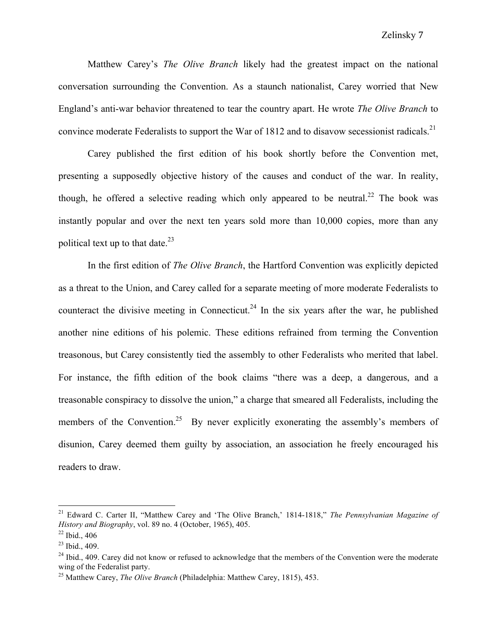Matthew Carey's *The Olive Branch* likely had the greatest impact on the national conversation surrounding the Convention. As a staunch nationalist, Carey worried that New England's anti-war behavior threatened to tear the country apart. He wrote *The Olive Branch* to convince moderate Federalists to support the War of 1812 and to disavow secessionist radicals.<sup>21</sup>

Carey published the first edition of his book shortly before the Convention met, presenting a supposedly objective history of the causes and conduct of the war. In reality, though, he offered a selective reading which only appeared to be neutral.<sup>22</sup> The book was instantly popular and over the next ten years sold more than 10,000 copies, more than any political text up to that date. $^{23}$ 

In the first edition of *The Olive Branch*, the Hartford Convention was explicitly depicted as a threat to the Union, and Carey called for a separate meeting of more moderate Federalists to counteract the divisive meeting in Connecticut.<sup>24</sup> In the six years after the war, he published another nine editions of his polemic. These editions refrained from terming the Convention treasonous, but Carey consistently tied the assembly to other Federalists who merited that label. For instance, the fifth edition of the book claims "there was a deep, a dangerous, and a treasonable conspiracy to dissolve the union," a charge that smeared all Federalists, including the members of the Convention.<sup>25</sup> By never explicitly exonerating the assembly's members of disunion, Carey deemed them guilty by association, an association he freely encouraged his readers to draw.

 <sup>21</sup> Edward C. Carter II, "Matthew Carey and 'The Olive Branch,' 1814-1818," *The Pennsylvanian Magazine of History and Biography*, vol. 89 no. 4 (October, 1965), 405.

 $22$  Ibid., 406

 $23$  Ibid., 409.

 $^{24}$  Ibid., 409. Carey did not know or refused to acknowledge that the members of the Convention were the moderate wing of the Federalist party.

<sup>25</sup> Matthew Carey, *The Olive Branch* (Philadelphia: Matthew Carey, 1815), 453.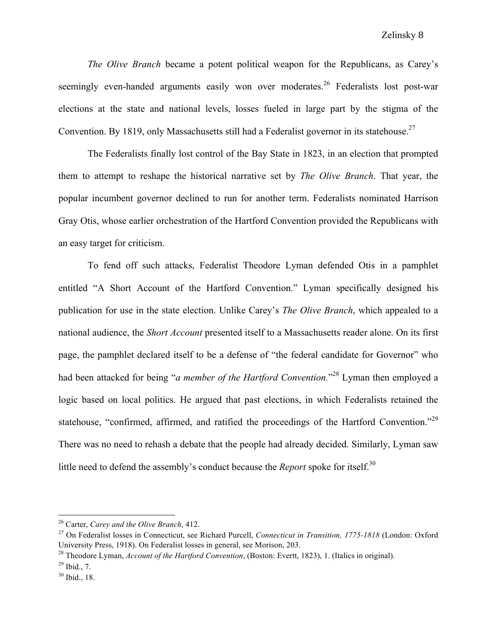*The Olive Branch* became a potent political weapon for the Republicans, as Carey's seemingly even-handed arguments easily won over moderates.<sup>26</sup> Federalists lost post-war elections at the state and national levels, losses fueled in large part by the stigma of the Convention. By 1819, only Massachusetts still had a Federalist governor in its statehouse.<sup>27</sup>

The Federalists finally lost control of the Bay State in 1823, in an election that prompted them to attempt to reshape the historical narrative set by *The Olive Branch*. That year, the popular incumbent governor declined to run for another term. Federalists nominated Harrison Gray Otis, whose earlier orchestration of the Hartford Convention provided the Republicans with an easy target for criticism.

To fend off such attacks, Federalist Theodore Lyman defended Otis in a pamphlet entitled "A Short Account of the Hartford Convention." Lyman specifically designed his publication for use in the state election. Unlike Carey's *The Olive Branch*, which appealed to a national audience, the *Short Account* presented itself to a Massachusetts reader alone. On its first page, the pamphlet declared itself to be a defense of "the federal candidate for Governor" who had been attacked for being "*a member of the Hartford Convention.*" <sup>28</sup> Lyman then employed a logic based on local politics. He argued that past elections, in which Federalists retained the statehouse, "confirmed, affirmed, and ratified the proceedings of the Hartford Convention."<sup>29</sup> There was no need to rehash a debate that the people had already decided. Similarly, Lyman saw little need to defend the assembly's conduct because the *Report* spoke for itself.<sup>30</sup>

<sup>26</sup> Carter, *Carey and the Olive Branch*, 412.

<sup>27</sup> On Federalist losses in Connecticut, see Richard Purcell, *Connecticut in Transition, 1775-1818* (London: Oxford University Press, 1918). On Federalist losses in general, see Morison, 203.

<sup>28</sup> Theodore Lyman, *Account of the Hartford Convention*, (Boston: Evertt, 1823), 1. (Italics in original).

 $^{29}$  Ibid., 7.

<sup>30</sup> Ibid., 18.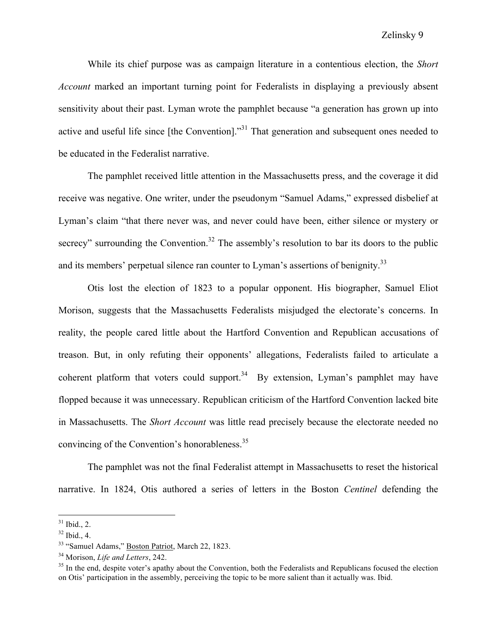While its chief purpose was as campaign literature in a contentious election, the *Short Account* marked an important turning point for Federalists in displaying a previously absent sensitivity about their past. Lyman wrote the pamphlet because "a generation has grown up into active and useful life since [the Convention]."<sup>31</sup> That generation and subsequent ones needed to be educated in the Federalist narrative.

The pamphlet received little attention in the Massachusetts press, and the coverage it did receive was negative. One writer, under the pseudonym "Samuel Adams," expressed disbelief at Lyman's claim "that there never was, and never could have been, either silence or mystery or secrecy" surrounding the Convention.<sup>32</sup> The assembly's resolution to bar its doors to the public and its members' perpetual silence ran counter to Lyman's assertions of benignity.<sup>33</sup>

Otis lost the election of 1823 to a popular opponent. His biographer, Samuel Eliot Morison, suggests that the Massachusetts Federalists misjudged the electorate's concerns. In reality, the people cared little about the Hartford Convention and Republican accusations of treason. But, in only refuting their opponents' allegations, Federalists failed to articulate a coherent platform that voters could support.<sup>34</sup> By extension, Lyman's pamphlet may have flopped because it was unnecessary. Republican criticism of the Hartford Convention lacked bite in Massachusetts. The *Short Account* was little read precisely because the electorate needed no convincing of the Convention's honorableness.<sup>35</sup>

The pamphlet was not the final Federalist attempt in Massachusetts to reset the historical narrative. In 1824, Otis authored a series of letters in the Boston *Centinel* defending the

 $31$  Ibid., 2.

 $32$  Ibid., 4.

<sup>33</sup> "Samuel Adams," Boston Patriot, March 22, 1823.

<sup>34</sup> Morison, *Life and Letters*, 242.

<sup>&</sup>lt;sup>35</sup> In the end, despite voter's apathy about the Convention, both the Federalists and Republicans focused the election on Otis' participation in the assembly, perceiving the topic to be more salient than it actually was. Ibid.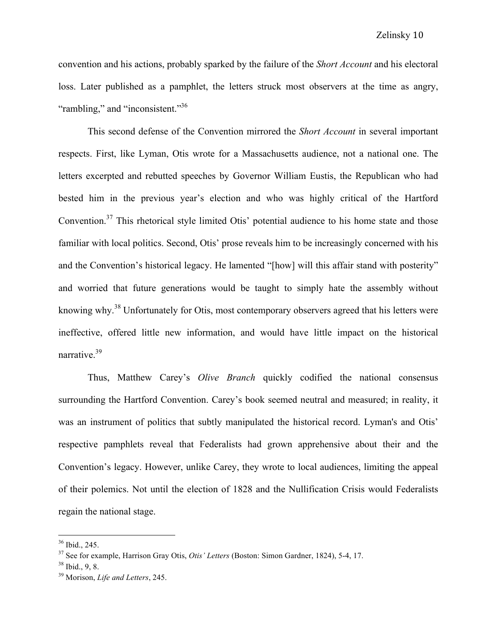convention and his actions, probably sparked by the failure of the *Short Account* and his electoral loss. Later published as a pamphlet, the letters struck most observers at the time as angry, "rambling," and "inconsistent."<sup>36</sup>

This second defense of the Convention mirrored the *Short Account* in several important respects. First, like Lyman, Otis wrote for a Massachusetts audience, not a national one. The letters excerpted and rebutted speeches by Governor William Eustis, the Republican who had bested him in the previous year's election and who was highly critical of the Hartford Convention.<sup>37</sup> This rhetorical style limited Otis' potential audience to his home state and those familiar with local politics. Second, Otis' prose reveals him to be increasingly concerned with his and the Convention's historical legacy. He lamented "[how] will this affair stand with posterity" and worried that future generations would be taught to simply hate the assembly without knowing why.<sup>38</sup> Unfortunately for Otis, most contemporary observers agreed that his letters were ineffective, offered little new information, and would have little impact on the historical narrative.39

Thus, Matthew Carey's *Olive Branch* quickly codified the national consensus surrounding the Hartford Convention. Carey's book seemed neutral and measured; in reality, it was an instrument of politics that subtly manipulated the historical record. Lyman's and Otis' respective pamphlets reveal that Federalists had grown apprehensive about their and the Convention's legacy. However, unlike Carey, they wrote to local audiences, limiting the appeal of their polemics. Not until the election of 1828 and the Nullification Crisis would Federalists regain the national stage.

<sup>36</sup> Ibid., 245.

<sup>37</sup> See for example, Harrison Gray Otis, *Otis' Letters* (Boston: Simon Gardner, 1824), 5-4, 17.

 $38$  Ibid., 9, 8.

<sup>39</sup> Morison, *Life and Letters*, 245.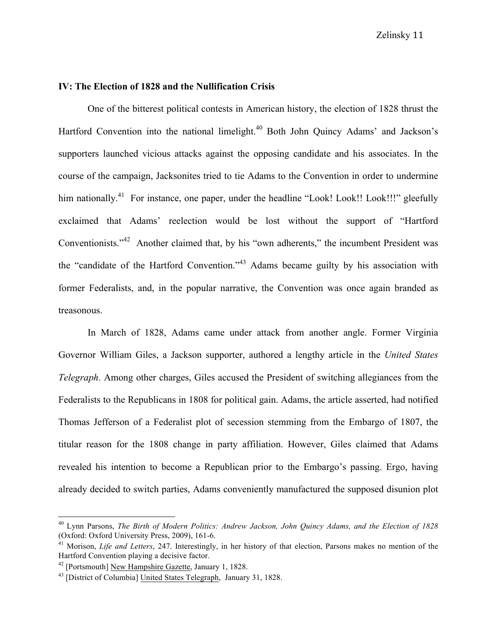## **IV: The Election of 1828 and the Nullification Crisis**

One of the bitterest political contests in American history, the election of 1828 thrust the Hartford Convention into the national limelight.<sup>40</sup> Both John Quincy Adams' and Jackson's supporters launched vicious attacks against the opposing candidate and his associates. In the course of the campaign, Jacksonites tried to tie Adams to the Convention in order to undermine him nationally.<sup>41</sup> For instance, one paper, under the headline "Look! Look!! Look!!!" gleefully exclaimed that Adams' reelection would be lost without the support of "Hartford Conventionists."<sup>42</sup> Another claimed that, by his "own adherents," the incumbent President was the "candidate of the Hartford Convention."<sup>43</sup> Adams became guilty by his association with former Federalists, and, in the popular narrative, the Convention was once again branded as treasonous.

In March of 1828, Adams came under attack from another angle. Former Virginia Governor William Giles, a Jackson supporter, authored a lengthy article in the *United States Telegraph*. Among other charges, Giles accused the President of switching allegiances from the Federalists to the Republicans in 1808 for political gain. Adams, the article asserted, had notified Thomas Jefferson of a Federalist plot of secession stemming from the Embargo of 1807, the titular reason for the 1808 change in party affiliation. However, Giles claimed that Adams revealed his intention to become a Republican prior to the Embargo's passing. Ergo, having already decided to switch parties, Adams conveniently manufactured the supposed disunion plot

 <sup>40</sup> Lynn Parsons, *The Birth of Modern Politics: Andrew Jackson, John Quincy Adams, and the Election of 1828* (Oxford: Oxford University Press, 2009), 161-6.

<sup>&</sup>lt;sup>41</sup> Morison, *Life and Letters*, 247. Interestingly, in her history of that election, Parsons makes no mention of the Hartford Convention playing a decisive factor.

<sup>&</sup>lt;sup>42</sup> [Portsmouth] New Hampshire Gazette, January 1, 1828.<br><sup>43</sup> [District of Columbia] United States Telegraph, January 31, 1828.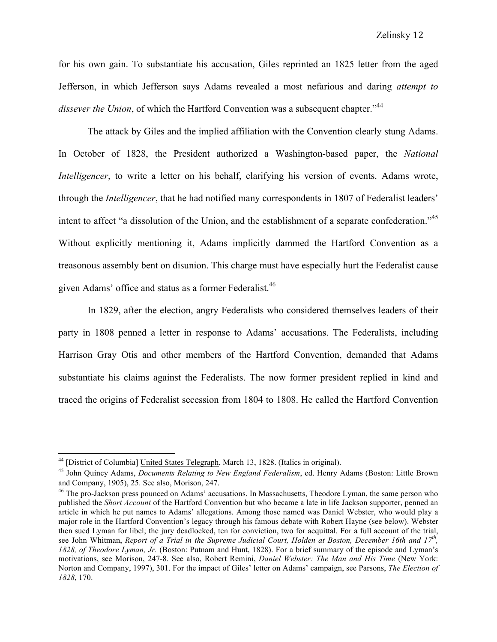for his own gain. To substantiate his accusation, Giles reprinted an 1825 letter from the aged Jefferson, in which Jefferson says Adams revealed a most nefarious and daring *attempt to*  dissever the Union, of which the Hartford Convention was a subsequent chapter.<sup>"44</sup>

The attack by Giles and the implied affiliation with the Convention clearly stung Adams. In October of 1828, the President authorized a Washington-based paper, the *National Intelligencer*, to write a letter on his behalf, clarifying his version of events. Adams wrote, through the *Intelligencer*, that he had notified many correspondents in 1807 of Federalist leaders' intent to affect "a dissolution of the Union, and the establishment of a separate confederation."<sup>45</sup> Without explicitly mentioning it, Adams implicitly dammed the Hartford Convention as a treasonous assembly bent on disunion. This charge must have especially hurt the Federalist cause given Adams' office and status as a former Federalist.<sup>46</sup>

In 1829, after the election, angry Federalists who considered themselves leaders of their party in 1808 penned a letter in response to Adams' accusations. The Federalists, including Harrison Gray Otis and other members of the Hartford Convention, demanded that Adams substantiate his claims against the Federalists. The now former president replied in kind and traced the origins of Federalist secession from 1804 to 1808. He called the Hartford Convention

<sup>&</sup>lt;sup>44</sup> [District of Columbia] United States Telegraph, March 13, 1828. (Italics in original).<br><sup>45</sup> John Quincy Adams, *Documents Relating to New England Federalism*, ed. Henry Adams (Boston: Little Brown and Company, 1905), 25. See also, Morison, 247.

<sup>&</sup>lt;sup>46</sup> The pro-Jackson press pounced on Adams' accusations. In Massachusetts, Theodore Lyman, the same person who published the *Short Account* of the Hartford Convention but who became a late in life Jackson supporter, penned an article in which he put names to Adams' allegations. Among those named was Daniel Webster, who would play a major role in the Hartford Convention's legacy through his famous debate with Robert Hayne (see below). Webster then sued Lyman for libel; the jury deadlocked, ten for conviction, two for acquittal. For a full account of the trial, see John Whitman, *Report of a Trial in the Supreme Judicial Court, Holden at Boston, December 16th and 17th, 1828, of Theodore Lyman, Jr.* (Boston: Putnam and Hunt, 1828). For a brief summary of the episode and Lyman's motivations, see Morison, 247-8. See also, Robert Remini, *Daniel Webster: The Man and His Time* (New York: Norton and Company, 1997), 301. For the impact of Giles' letter on Adams' campaign, see Parsons, *The Election of 1828*, 170.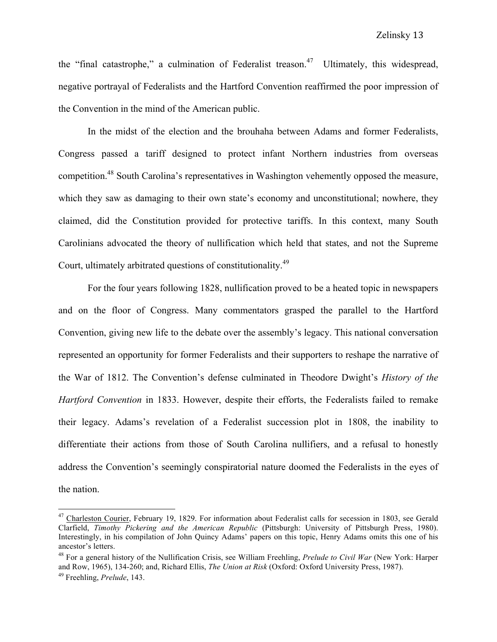the "final catastrophe," a culmination of Federalist treason.<sup>47</sup> Ultimately, this widespread, negative portrayal of Federalists and the Hartford Convention reaffirmed the poor impression of the Convention in the mind of the American public.

In the midst of the election and the brouhaha between Adams and former Federalists, Congress passed a tariff designed to protect infant Northern industries from overseas competition.<sup>48</sup> South Carolina's representatives in Washington vehemently opposed the measure, which they saw as damaging to their own state's economy and unconstitutional; nowhere, they claimed, did the Constitution provided for protective tariffs. In this context, many South Carolinians advocated the theory of nullification which held that states, and not the Supreme Court, ultimately arbitrated questions of constitutionality.<sup>49</sup>

For the four years following 1828, nullification proved to be a heated topic in newspapers and on the floor of Congress. Many commentators grasped the parallel to the Hartford Convention, giving new life to the debate over the assembly's legacy. This national conversation represented an opportunity for former Federalists and their supporters to reshape the narrative of the War of 1812. The Convention's defense culminated in Theodore Dwight's *History of the Hartford Convention* in 1833. However, despite their efforts, the Federalists failed to remake their legacy. Adams's revelation of a Federalist succession plot in 1808, the inability to differentiate their actions from those of South Carolina nullifiers, and a refusal to honestly address the Convention's seemingly conspiratorial nature doomed the Federalists in the eyes of the nation.

<sup>&</sup>lt;sup>47</sup> Charleston Courier, February 19, 1829. For information about Federalist calls for secession in 1803, see Gerald Clarfield, *Timothy Pickering and the American Republic* (Pittsburgh: University of Pittsburgh Press, 1980). Interestingly, in his compilation of John Quincy Adams' papers on this topic, Henry Adams omits this one of his ancestor's letters.

<sup>48</sup> For a general history of the Nullification Crisis, see William Freehling, *Prelude to Civil War* (New York: Harper and Row, 1965), 134-260; and, Richard Ellis, *The Union at Risk* (Oxford: Oxford University Press, 1987).

<sup>49</sup> Freehling, *Prelude*, 143.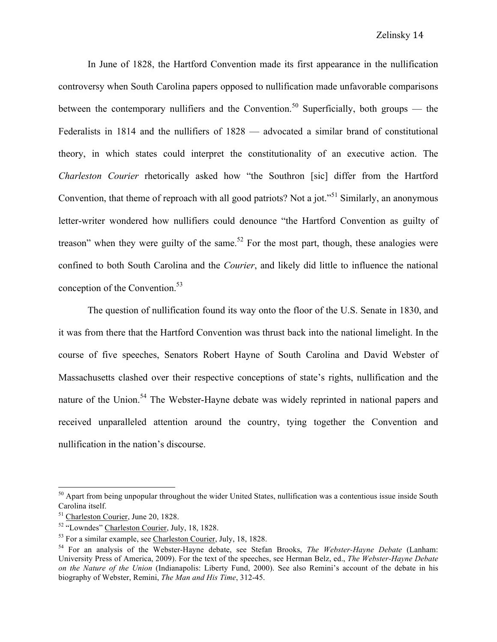In June of 1828, the Hartford Convention made its first appearance in the nullification controversy when South Carolina papers opposed to nullification made unfavorable comparisons between the contemporary nullifiers and the Convention.<sup>50</sup> Superficially, both groups — the Federalists in 1814 and the nullifiers of 1828 — advocated a similar brand of constitutional theory, in which states could interpret the constitutionality of an executive action. The *Charleston Courier* rhetorically asked how "the Southron [sic] differ from the Hartford Convention, that theme of reproach with all good patriots? Not a jot."<sup>51</sup> Similarly, an anonymous letter-writer wondered how nullifiers could denounce "the Hartford Convention as guilty of treason" when they were guilty of the same.<sup>52</sup> For the most part, though, these analogies were confined to both South Carolina and the *Courier*, and likely did little to influence the national conception of the Convention.<sup>53</sup>

The question of nullification found its way onto the floor of the U.S. Senate in 1830, and it was from there that the Hartford Convention was thrust back into the national limelight. In the course of five speeches, Senators Robert Hayne of South Carolina and David Webster of Massachusetts clashed over their respective conceptions of state's rights, nullification and the nature of the Union.<sup>54</sup> The Webster-Hayne debate was widely reprinted in national papers and received unparalleled attention around the country, tying together the Convention and nullification in the nation's discourse.

 $50$  Apart from being unpopular throughout the wider United States, nullification was a contentious issue inside South Carolina itself.

<sup>51</sup> Charleston Courier, June 20, 1828.

<sup>52</sup> "Lowndes" Charleston Courier, July, 18, 1828.

<sup>53</sup> For a similar example, see Charleston Courier, July, 18, 1828. 54 For an analysis of the Webster-Hayne debate, see Stefan Brooks, *The Webster-Hayne Debate* (Lanham: University Press of America, 2009). For the text of the speeches, see Herman Belz, ed., *The Webster-Hayne Debate on the Nature of the Union* (Indianapolis: Liberty Fund, 2000). See also Remini's account of the debate in his biography of Webster, Remini, *The Man and His Time*, 312-45.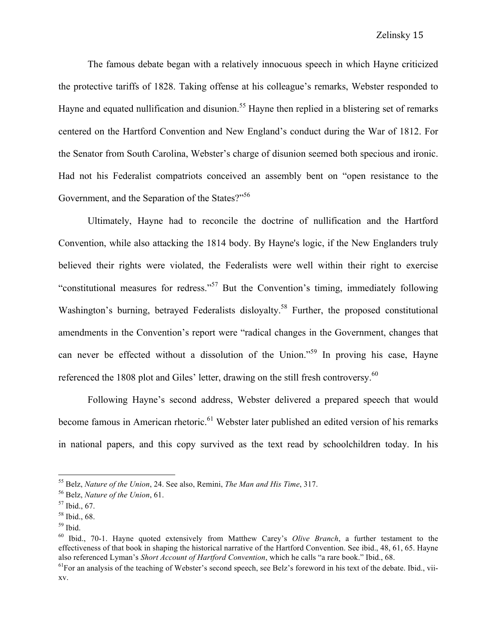The famous debate began with a relatively innocuous speech in which Hayne criticized the protective tariffs of 1828. Taking offense at his colleague's remarks, Webster responded to Hayne and equated nullification and disunion.<sup>55</sup> Hayne then replied in a blistering set of remarks centered on the Hartford Convention and New England's conduct during the War of 1812. For the Senator from South Carolina, Webster's charge of disunion seemed both specious and ironic. Had not his Federalist compatriots conceived an assembly bent on "open resistance to the Government, and the Separation of the States?"<sup>56</sup>

Ultimately, Hayne had to reconcile the doctrine of nullification and the Hartford Convention, while also attacking the 1814 body. By Hayne's logic, if the New Englanders truly believed their rights were violated, the Federalists were well within their right to exercise "constitutional measures for redress."<sup>57</sup> But the Convention's timing, immediately following Washington's burning, betrayed Federalists disloyalty.<sup>58</sup> Further, the proposed constitutional amendments in the Convention's report were "radical changes in the Government, changes that can never be effected without a dissolution of the Union."<sup>59</sup> In proving his case, Hayne referenced the 1808 plot and Giles' letter, drawing on the still fresh controversy.<sup>60</sup>

Following Hayne's second address, Webster delivered a prepared speech that would become famous in American rhetoric.<sup>61</sup> Webster later published an edited version of his remarks in national papers, and this copy survived as the text read by schoolchildren today. In his

<sup>55</sup> Belz, *Nature of the Union*, 24. See also, Remini, *The Man and His Time*, 317.

<sup>56</sup> Belz, *Nature of the Union*, 61.

 $57$  Ibid., 67.

<sup>58</sup> Ibid., 68.

 $59$  Ibid.

<sup>60</sup> Ibid., 70-1. Hayne quoted extensively from Matthew Carey's *Olive Branch*, a further testament to the effectiveness of that book in shaping the historical narrative of the Hartford Convention. See ibid., 48, 61, 65. Hayne also referenced Lyman's *Short Account of Hartford Convention*, which he calls "a rare book." Ibid., 68.

 $<sup>61</sup>$ For an analysis of the teaching of Webster's second speech, see Belz's foreword in his text of the debate. Ibid., vii-</sup> xv.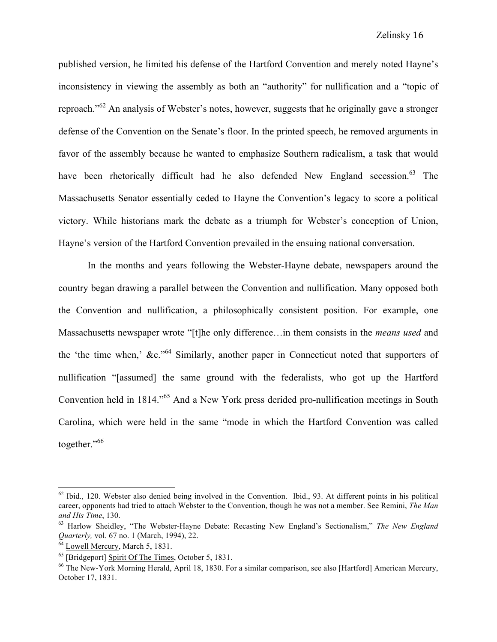published version, he limited his defense of the Hartford Convention and merely noted Hayne's inconsistency in viewing the assembly as both an "authority" for nullification and a "topic of reproach."<sup>62</sup> An analysis of Webster's notes, however, suggests that he originally gave a stronger defense of the Convention on the Senate's floor. In the printed speech, he removed arguments in favor of the assembly because he wanted to emphasize Southern radicalism, a task that would have been rhetorically difficult had he also defended New England secession.<sup>63</sup> The Massachusetts Senator essentially ceded to Hayne the Convention's legacy to score a political victory. While historians mark the debate as a triumph for Webster's conception of Union, Hayne's version of the Hartford Convention prevailed in the ensuing national conversation.

In the months and years following the Webster-Hayne debate, newspapers around the country began drawing a parallel between the Convention and nullification. Many opposed both the Convention and nullification, a philosophically consistent position. For example, one Massachusetts newspaper wrote "[t]he only difference…in them consists in the *means used* and the 'the time when,'  $\&c$ ."<sup>64</sup> Similarly, another paper in Connecticut noted that supporters of nullification "[assumed] the same ground with the federalists, who got up the Hartford Convention held in 1814.<sup>"65</sup> And a New York press derided pro-nullification meetings in South Carolina, which were held in the same "mode in which the Hartford Convention was called together."<sup>66</sup>

 $62$  Ibid., 120. Webster also denied being involved in the Convention. Ibid., 93. At different points in his political career, opponents had tried to attach Webster to the Convention, though he was not a member. See Remini, *The Man and His Time*, 130.

<sup>63</sup> Harlow Sheidley, "The Webster-Hayne Debate: Recasting New England's Sectionalism," *The New England Quarterly,* vol. 67 no. 1 (March, 1994), 22.

<sup>64</sup> Lowell Mercury, March 5, 1831.

<sup>65</sup> [Bridgeport] Spirit Of The Times, October 5, 1831.

<sup>&</sup>lt;sup>66</sup> The New-York Morning Herald, April 18, 1830. For a similar comparison, see also [Hartford] American Mercury, October 17, 1831.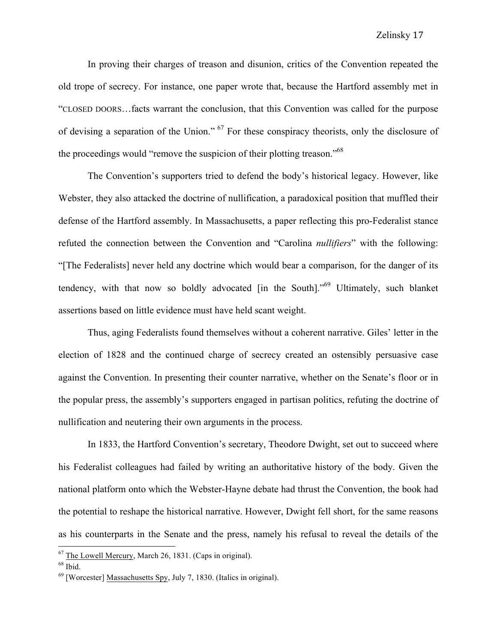### Zelinsky 17

In proving their charges of treason and disunion, critics of the Convention repeated the old trope of secrecy. For instance, one paper wrote that, because the Hartford assembly met in "CLOSED DOORS…facts warrant the conclusion, that this Convention was called for the purpose of devising a separation of the Union." <sup>67</sup> For these conspiracy theorists, only the disclosure of the proceedings would "remove the suspicion of their plotting treason."<sup>68</sup>

The Convention's supporters tried to defend the body's historical legacy. However, like Webster, they also attacked the doctrine of nullification, a paradoxical position that muffled their defense of the Hartford assembly. In Massachusetts, a paper reflecting this pro-Federalist stance refuted the connection between the Convention and "Carolina *nullifiers*" with the following: "[The Federalists] never held any doctrine which would bear a comparison, for the danger of its tendency, with that now so boldly advocated [in the South]."69 Ultimately, such blanket assertions based on little evidence must have held scant weight.

Thus, aging Federalists found themselves without a coherent narrative. Giles' letter in the election of 1828 and the continued charge of secrecy created an ostensibly persuasive case against the Convention. In presenting their counter narrative, whether on the Senate's floor or in the popular press, the assembly's supporters engaged in partisan politics, refuting the doctrine of nullification and neutering their own arguments in the process.

In 1833, the Hartford Convention's secretary, Theodore Dwight, set out to succeed where his Federalist colleagues had failed by writing an authoritative history of the body. Given the national platform onto which the Webster-Hayne debate had thrust the Convention, the book had the potential to reshape the historical narrative. However, Dwight fell short, for the same reasons as his counterparts in the Senate and the press, namely his refusal to reveal the details of the

 $67$  The Lowell Mercury, March 26, 1831. (Caps in original).

 $68$  Ibid.

<sup>69</sup> [Worcester] Massachusetts Spy, July 7, 1830. (Italics in original).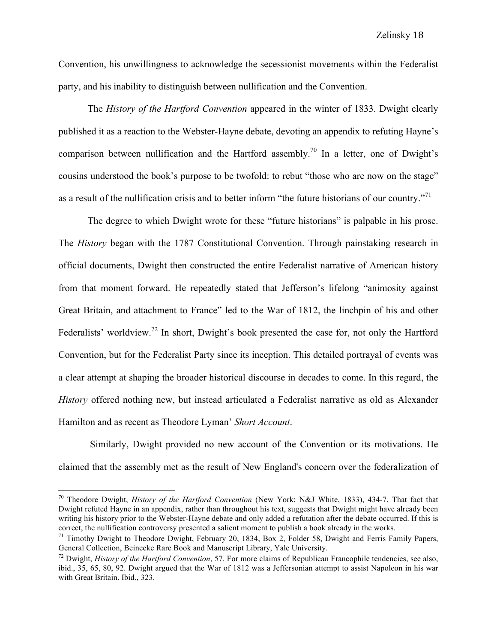Convention, his unwillingness to acknowledge the secessionist movements within the Federalist party, and his inability to distinguish between nullification and the Convention.

The *History of the Hartford Convention* appeared in the winter of 1833. Dwight clearly published it as a reaction to the Webster-Hayne debate, devoting an appendix to refuting Hayne's comparison between nullification and the Hartford assembly.<sup>70</sup> In a letter, one of Dwight's cousins understood the book's purpose to be twofold: to rebut "those who are now on the stage" as a result of the nullification crisis and to better inform "the future historians of our country."<sup>71</sup>

The degree to which Dwight wrote for these "future historians" is palpable in his prose. The *History* began with the 1787 Constitutional Convention. Through painstaking research in official documents, Dwight then constructed the entire Federalist narrative of American history from that moment forward. He repeatedly stated that Jefferson's lifelong "animosity against Great Britain, and attachment to France" led to the War of 1812, the linchpin of his and other Federalists' worldview.<sup>72</sup> In short, Dwight's book presented the case for, not only the Hartford Convention, but for the Federalist Party since its inception. This detailed portrayal of events was a clear attempt at shaping the broader historical discourse in decades to come. In this regard, the *History* offered nothing new, but instead articulated a Federalist narrative as old as Alexander Hamilton and as recent as Theodore Lyman' *Short Account*.

Similarly, Dwight provided no new account of the Convention or its motivations. He claimed that the assembly met as the result of New England's concern over the federalization of

 <sup>70</sup> Theodore Dwight, *History of the Hartford Convention* (New York: N&J White, 1833), 434-7. That fact that Dwight refuted Hayne in an appendix, rather than throughout his text, suggests that Dwight might have already been writing his history prior to the Webster-Hayne debate and only added a refutation after the debate occurred. If this is correct, the nullification controversy presented a salient moment to publish a book already in the works.

<sup>&</sup>lt;sup>71</sup> Timothy Dwight to Theodore Dwight, February 20, 1834, Box 2, Folder 58, Dwight and Ferris Family Papers, General Collection, Beinecke Rare Book and Manuscript Library, Yale University.

<sup>72</sup> Dwight, *History of the Hartford Convention*, 57. For more claims of Republican Francophile tendencies, see also, ibid., 35, 65, 80, 92. Dwight argued that the War of 1812 was a Jeffersonian attempt to assist Napoleon in his war with Great Britain. Ibid., 323.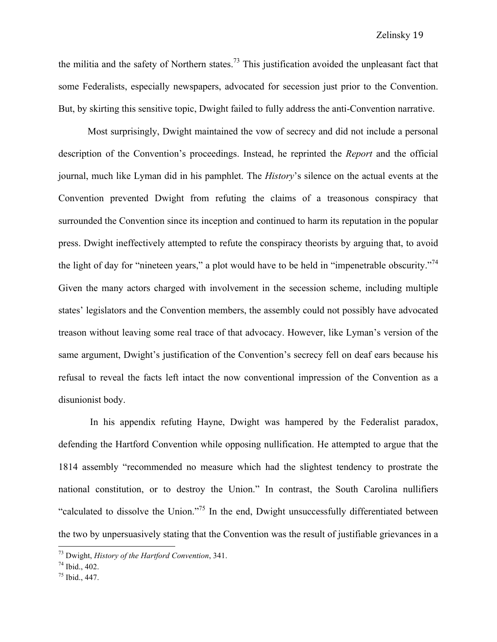the militia and the safety of Northern states.<sup>73</sup> This justification avoided the unpleasant fact that some Federalists, especially newspapers, advocated for secession just prior to the Convention. But, by skirting this sensitive topic, Dwight failed to fully address the anti-Convention narrative.

Most surprisingly, Dwight maintained the vow of secrecy and did not include a personal description of the Convention's proceedings. Instead, he reprinted the *Report* and the official journal, much like Lyman did in his pamphlet. The *History*'s silence on the actual events at the Convention prevented Dwight from refuting the claims of a treasonous conspiracy that surrounded the Convention since its inception and continued to harm its reputation in the popular press. Dwight ineffectively attempted to refute the conspiracy theorists by arguing that, to avoid the light of day for "nineteen years," a plot would have to be held in "impenetrable obscurity."<sup>74</sup> Given the many actors charged with involvement in the secession scheme, including multiple states' legislators and the Convention members, the assembly could not possibly have advocated treason without leaving some real trace of that advocacy. However, like Lyman's version of the same argument, Dwight's justification of the Convention's secrecy fell on deaf ears because his refusal to reveal the facts left intact the now conventional impression of the Convention as a disunionist body.

In his appendix refuting Hayne, Dwight was hampered by the Federalist paradox, defending the Hartford Convention while opposing nullification. He attempted to argue that the 1814 assembly "recommended no measure which had the slightest tendency to prostrate the national constitution, or to destroy the Union." In contrast, the South Carolina nullifiers "calculated to dissolve the Union."75 In the end, Dwight unsuccessfully differentiated between the two by unpersuasively stating that the Convention was the result of justifiable grievances in a

 <sup>73</sup> Dwight, *History of the Hartford Convention*, 341. 74 Ibid., 402.

<sup>75</sup> Ibid., 447.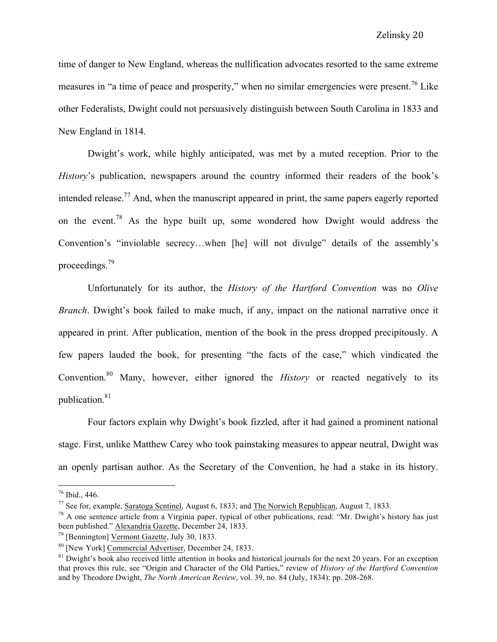time of danger to New England, whereas the nullification advocates resorted to the same extreme measures in "a time of peace and prosperity," when no similar emergencies were present.<sup>76</sup> Like other Federalists, Dwight could not persuasively distinguish between South Carolina in 1833 and New England in 1814.

Dwight's work, while highly anticipated, was met by a muted reception. Prior to the *History*'s publication, newspapers around the country informed their readers of the book's intended release.77 And, when the manuscript appeared in print, the same papers eagerly reported on the event.<sup>78</sup> As the hype built up, some wondered how Dwight would address the Convention's "inviolable secrecy…when [he] will not divulge" details of the assembly's proceedings.79

Unfortunately for its author, the *History of the Hartford Convention* was no *Olive Branch*. Dwight's book failed to make much, if any, impact on the national narrative once it appeared in print. After publication, mention of the book in the press dropped precipitously. A few papers lauded the book, for presenting "the facts of the case," which vindicated the Convention.<sup>80</sup> Many, however, either ignored the *History* or reacted negatively to its publication.<sup>81</sup>

Four factors explain why Dwight's book fizzled, after it had gained a prominent national stage. First, unlike Matthew Carey who took painstaking measures to appear neutral, Dwight was an openly partisan author. As the Secretary of the Convention, he had a stake in its history.

<sup>76</sup> Ibid., 446.

 $^{77}$  See for, example, Saratoga Sentinel, August 6, 1833; and The Norwich Republican, August 7, 1833.

 $^{78}$  A one sentence article from a Virginia paper, typical of other publications, read: "Mr. Dwight's history has just been published." Alexandria Gazette, December 24, 1833.

<sup>79</sup> [Bennington] Vermont Gazette, July 30, 1833.

<sup>80</sup> [New York] Commercial Advertiser, December 24, 1833.

 $81$  Dwight's book also received little attention in books and historical journals for the next 20 years. For an exception that proves this rule, see "Origin and Character of the Old Parties," review of *History of the Hartford Convention* and by Theodore Dwight, *The North American Review*, vol. 39, no. 84 (July, 1834): pp. 208-268.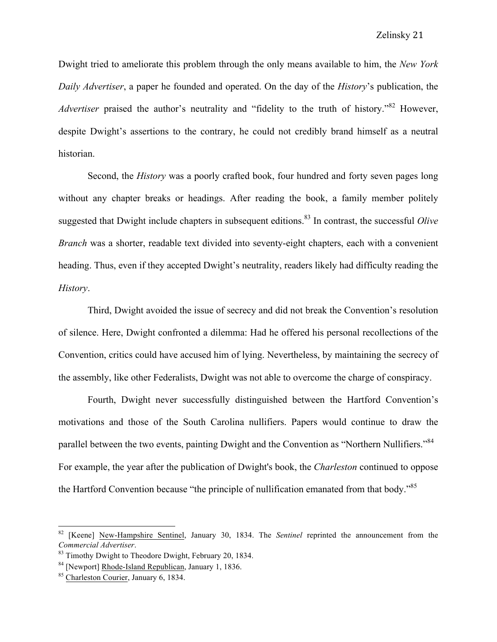Dwight tried to ameliorate this problem through the only means available to him, the *New York Daily Advertiser*, a paper he founded and operated. On the day of the *History*'s publication, the *Advertiser* praised the author's neutrality and "fidelity to the truth of history."<sup>82</sup> However, despite Dwight's assertions to the contrary, he could not credibly brand himself as a neutral historian.

Second, the *History* was a poorly crafted book, four hundred and forty seven pages long without any chapter breaks or headings. After reading the book, a family member politely suggested that Dwight include chapters in subsequent editions.<sup>83</sup> In contrast, the successful *Olive Branch* was a shorter, readable text divided into seventy-eight chapters, each with a convenient heading. Thus, even if they accepted Dwight's neutrality, readers likely had difficulty reading the *History*.

Third, Dwight avoided the issue of secrecy and did not break the Convention's resolution of silence. Here, Dwight confronted a dilemma: Had he offered his personal recollections of the Convention, critics could have accused him of lying. Nevertheless, by maintaining the secrecy of the assembly, like other Federalists, Dwight was not able to overcome the charge of conspiracy.

Fourth, Dwight never successfully distinguished between the Hartford Convention's motivations and those of the South Carolina nullifiers. Papers would continue to draw the parallel between the two events, painting Dwight and the Convention as "Northern Nullifiers."<sup>84</sup> For example, the year after the publication of Dwight's book, the *Charleston* continued to oppose the Hartford Convention because "the principle of nullification emanated from that body."<sup>85</sup>

 <sup>82</sup> [Keene] New-Hampshire Sentinel, January 30, 1834. The *Sentinel* reprinted the announcement from the *Commercial Advertiser*.

<sup>&</sup>lt;sup>83</sup> Timothy Dwight to Theodore Dwight, February 20, 1834.

<sup>&</sup>lt;sup>84</sup> [Newport] <u>Rhode-Island Republican</u>, January 1, 1836.<br><sup>85</sup> Charleston Courier, January 6, 1834.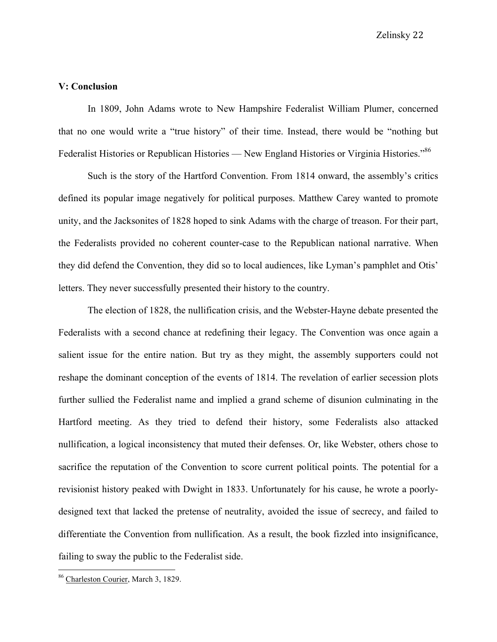Zelinsky 22

# **V: Conclusion**

In 1809, John Adams wrote to New Hampshire Federalist William Plumer, concerned that no one would write a "true history" of their time. Instead, there would be "nothing but Federalist Histories or Republican Histories — New England Histories or Virginia Histories."<sup>86</sup>

Such is the story of the Hartford Convention. From 1814 onward, the assembly's critics defined its popular image negatively for political purposes. Matthew Carey wanted to promote unity, and the Jacksonites of 1828 hoped to sink Adams with the charge of treason. For their part, the Federalists provided no coherent counter-case to the Republican national narrative. When they did defend the Convention, they did so to local audiences, like Lyman's pamphlet and Otis' letters. They never successfully presented their history to the country.

The election of 1828, the nullification crisis, and the Webster-Hayne debate presented the Federalists with a second chance at redefining their legacy. The Convention was once again a salient issue for the entire nation. But try as they might, the assembly supporters could not reshape the dominant conception of the events of 1814. The revelation of earlier secession plots further sullied the Federalist name and implied a grand scheme of disunion culminating in the Hartford meeting. As they tried to defend their history, some Federalists also attacked nullification, a logical inconsistency that muted their defenses. Or, like Webster, others chose to sacrifice the reputation of the Convention to score current political points. The potential for a revisionist history peaked with Dwight in 1833. Unfortunately for his cause, he wrote a poorlydesigned text that lacked the pretense of neutrality, avoided the issue of secrecy, and failed to differentiate the Convention from nullification. As a result, the book fizzled into insignificance, failing to sway the public to the Federalist side.

 <sup>86</sup> Charleston Courier, March 3, 1829.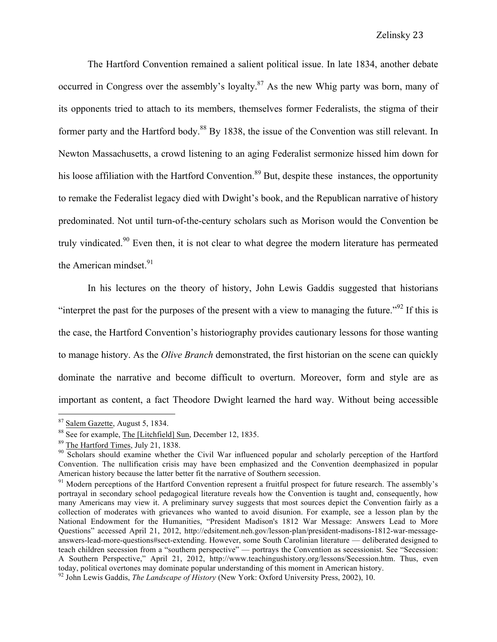The Hartford Convention remained a salient political issue. In late 1834, another debate occurred in Congress over the assembly's loyalty.<sup>87</sup> As the new Whig party was born, many of its opponents tried to attach to its members, themselves former Federalists, the stigma of their former party and the Hartford body.<sup>88</sup> By 1838, the issue of the Convention was still relevant. In Newton Massachusetts, a crowd listening to an aging Federalist sermonize hissed him down for his loose affiliation with the Hartford Convention.<sup>89</sup> But, despite these instances, the opportunity to remake the Federalist legacy died with Dwight's book, and the Republican narrative of history predominated. Not until turn-of-the-century scholars such as Morison would the Convention be truly vindicated.<sup>90</sup> Even then, it is not clear to what degree the modern literature has permeated the American mindset. $91$ 

In his lectures on the theory of history, John Lewis Gaddis suggested that historians "interpret the past for the purposes of the present with a view to managing the future."<sup>92</sup> If this is the case, the Hartford Convention's historiography provides cautionary lessons for those wanting to manage history. As the *Olive Branch* demonstrated, the first historian on the scene can quickly dominate the narrative and become difficult to overturn. Moreover, form and style are as important as content, a fact Theodore Dwight learned the hard way. Without being accessible

<sup>&</sup>lt;sup>87</sup> Salem Gazette, August 5, 1834.

<sup>&</sup>lt;sup>88</sup> See for example, The [Litchfield] Sun, December 12, 1835.<br><sup>89</sup> The Hartford Times, July 21, 1838.<br><sup>90</sup> Scholars should examine whether the Civil War influenced popular and scholarly perception of the Hartford Convention. The nullification crisis may have been emphasized and the Convention deemphasized in popular American history because the latter better fit the narrative of Southern secession.<br><sup>91</sup> Modern perceptions of the Hartford Convention represent a fruitful prospect for future research. The assembly's

portrayal in secondary school pedagogical literature reveals how the Convention is taught and, consequently, how many Americans may view it. A preliminary survey suggests that most sources depict the Convention fairly as a collection of moderates with grievances who wanted to avoid disunion. For example, see a lesson plan by the National Endowment for the Humanities, "President Madison's 1812 War Message: Answers Lead to More Questions" accessed April 21, 2012, http://edsitement.neh.gov/lesson-plan/president-madisons-1812-war-messageanswers-lead-more-questions#sect-extending. However, some South Carolinian literature — deliberated designed to teach children secession from a "southern perspective" — portrays the Convention as secessionist. See "Secession: A Southern Perspective," April 21, 2012, http://www.teachingushistory.org/lessons/Secession.htm. Thus, even today, political overtones may dominate popular understanding of this moment in American history.

<sup>92</sup> John Lewis Gaddis, *The Landscape of History* (New York: Oxford University Press, 2002), 10.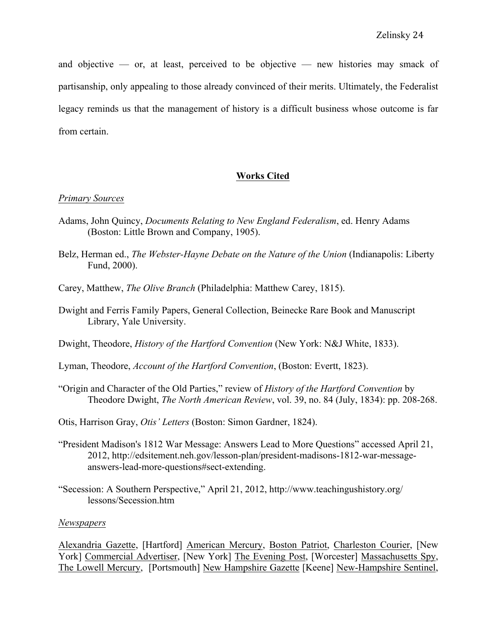and objective — or, at least, perceived to be objective — new histories may smack of partisanship, only appealing to those already convinced of their merits. Ultimately, the Federalist legacy reminds us that the management of history is a difficult business whose outcome is far from certain.

# **Works Cited**

### *Primary Sources*

- Adams, John Quincy, *Documents Relating to New England Federalism*, ed. Henry Adams (Boston: Little Brown and Company, 1905).
- Belz, Herman ed., *The Webster-Hayne Debate on the Nature of the Union* (Indianapolis: Liberty Fund, 2000).
- Carey, Matthew, *The Olive Branch* (Philadelphia: Matthew Carey, 1815).
- Dwight and Ferris Family Papers, General Collection, Beinecke Rare Book and Manuscript Library, Yale University.
- Dwight, Theodore, *History of the Hartford Convention* (New York: N&J White, 1833).
- Lyman, Theodore, *Account of the Hartford Convention*, (Boston: Evertt, 1823).
- "Origin and Character of the Old Parties," review of *History of the Hartford Convention* by Theodore Dwight, *The North American Review*, vol. 39, no. 84 (July, 1834): pp. 208-268.
- Otis, Harrison Gray, *Otis' Letters* (Boston: Simon Gardner, 1824).
- "President Madison's 1812 War Message: Answers Lead to More Questions" accessed April 21, 2012, http://edsitement.neh.gov/lesson-plan/president-madisons-1812-war-messageanswers-lead-more-questions#sect-extending.
- "Secession: A Southern Perspective," April 21, 2012, http://www.teachingushistory.org/ lessons/Secession.htm

### *Newspapers*

Alexandria Gazette, [Hartford] American Mercury, Boston Patriot, Charleston Courier, [New York] Commercial Advertiser, [New York] The Evening Post, [Worcester] Massachusetts Spy, The Lowell Mercury, [Portsmouth] New Hampshire Gazette [Keene] New-Hampshire Sentinel,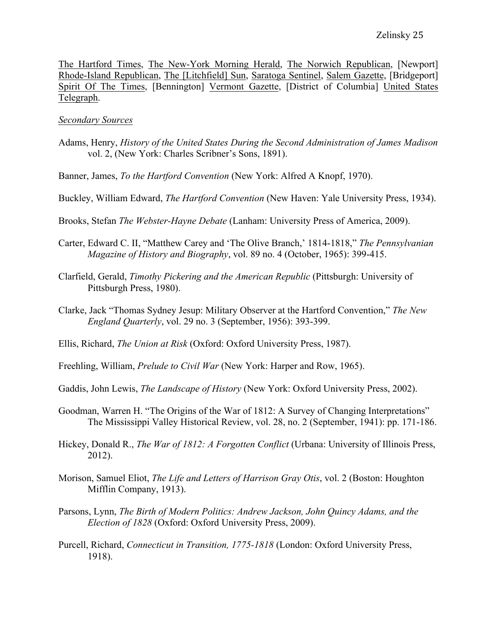The Hartford Times, The New-York Morning Herald, The Norwich Republican, [Newport] Rhode-Island Republican, The [Litchfield] Sun, Saratoga Sentinel, Salem Gazette, [Bridgeport] Spirit Of The Times, [Bennington] Vermont Gazette, [District of Columbia] United States Telegraph.

## *Secondary Sources*

- Adams, Henry, *History of the United States During the Second Administration of James Madison* vol. 2, (New York: Charles Scribner's Sons, 1891).
- Banner, James, *To the Hartford Convention* (New York: Alfred A Knopf, 1970).
- Buckley, William Edward, *The Hartford Convention* (New Haven: Yale University Press, 1934).
- Brooks, Stefan *The Webster-Hayne Debate* (Lanham: University Press of America, 2009).
- Carter, Edward C. II, "Matthew Carey and 'The Olive Branch,' 1814-1818," *The Pennsylvanian Magazine of History and Biography*, vol. 89 no. 4 (October, 1965): 399-415.
- Clarfield, Gerald, *Timothy Pickering and the American Republic* (Pittsburgh: University of Pittsburgh Press, 1980).
- Clarke, Jack "Thomas Sydney Jesup: Military Observer at the Hartford Convention," *The New England Quarterly*, vol. 29 no. 3 (September, 1956): 393-399.
- Ellis, Richard, *The Union at Risk* (Oxford: Oxford University Press, 1987).
- Freehling, William, *Prelude to Civil War* (New York: Harper and Row, 1965).
- Gaddis, John Lewis, *The Landscape of History* (New York: Oxford University Press, 2002).
- Goodman, Warren H. "The Origins of the War of 1812: A Survey of Changing Interpretations" The Mississippi Valley Historical Review, vol. 28, no. 2 (September, 1941): pp. 171-186.
- Hickey, Donald R., *The War of 1812: A Forgotten Conflict* (Urbana: University of Illinois Press, 2012).
- Morison, Samuel Eliot, *The Life and Letters of Harrison Gray Otis*, vol. 2 (Boston: Houghton Mifflin Company, 1913).
- Parsons, Lynn, *The Birth of Modern Politics: Andrew Jackson, John Quincy Adams, and the Election of 1828* (Oxford: Oxford University Press, 2009).
- Purcell, Richard, *Connecticut in Transition, 1775-1818* (London: Oxford University Press, 1918).